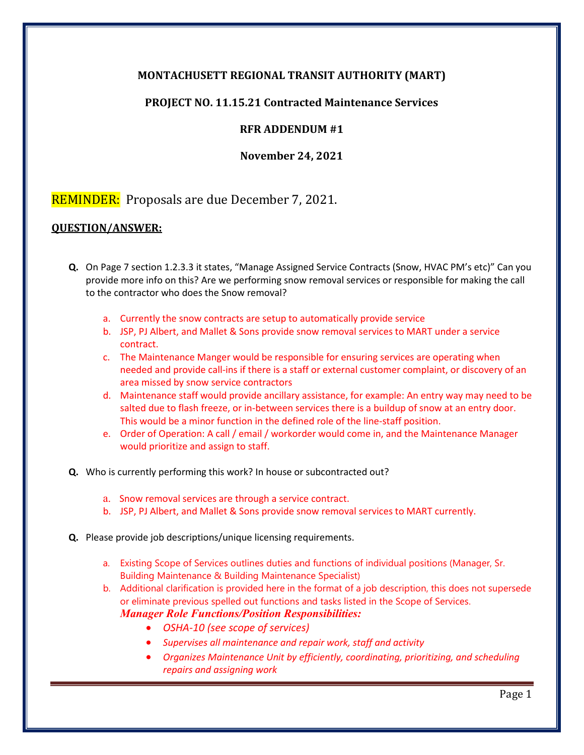## **MONTACHUSETT REGIONAL TRANSIT AUTHORITY (MART)**

## **PROJECT NO. 11.15.21 Contracted Maintenance Services**

## **RFR ADDENDUM #1**

## **November 24, 2021**

# REMINDER: Proposals are due December 7, 2021.

### **QUESTION/ANSWER:**

- **Q.** On Page 7 section 1.2.3.3 it states, "Manage Assigned Service Contracts (Snow, HVAC PM's etc)" Can you provide more info on this? Are we performing snow removal services or responsible for making the call to the contractor who does the Snow removal?
	- a. Currently the snow contracts are setup to automatically provide service
	- b. JSP, PJ Albert, and Mallet & Sons provide snow removal services to MART under a service contract.
	- c. The Maintenance Manger would be responsible for ensuring services are operating when needed and provide call-ins if there is a staff or external customer complaint, or discovery of an area missed by snow service contractors
	- d. Maintenance staff would provide ancillary assistance, for example: An entry way may need to be salted due to flash freeze, or in-between services there is a buildup of snow at an entry door. This would be a minor function in the defined role of the line-staff position.
	- e. Order of Operation: A call / email / workorder would come in, and the Maintenance Manager would prioritize and assign to staff.
- **Q.** Who is currently performing this work? In house or subcontracted out?
	- a. Snow removal services are through a service contract.
	- b. JSP, PJ Albert, and Mallet & Sons provide snow removal services to MART currently.
- **Q.** Please provide job descriptions/unique licensing requirements.
	- a. Existing Scope of Services outlines duties and functions of individual positions (Manager, Sr. Building Maintenance & Building Maintenance Specialist)
	- b. Additional clarification is provided here in the format of a job description, this does not supersede or eliminate previous spelled out functions and tasks listed in the Scope of Services.
		- *Manager Role Functions/Position Responsibilities:*
			- *OSHA-10 (see scope of services)*
			- *Supervises all maintenance and repair work, staff and activity*
			- *Organizes Maintenance Unit by efficiently, coordinating, prioritizing, and scheduling repairs and assigning work*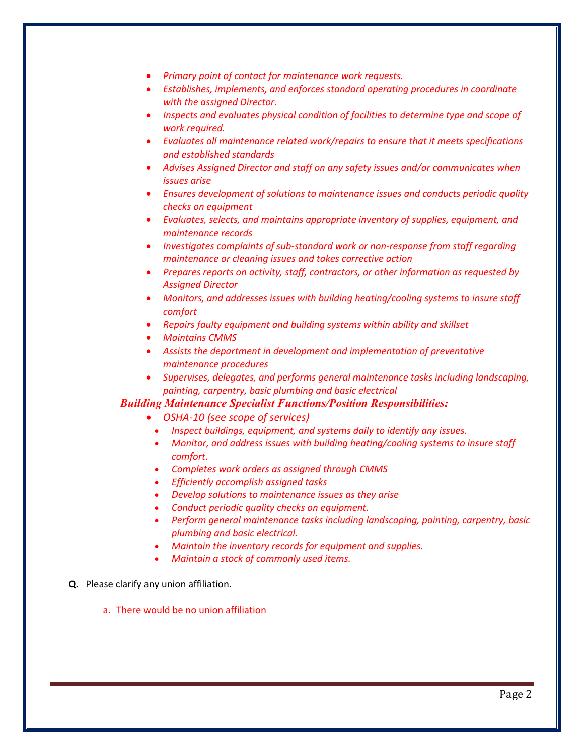- *Primary point of contact for maintenance work requests.*
- *Establishes, implements, and enforces standard operating procedures in coordinate with the assigned Director.*
- *Inspects and evaluates physical condition of facilities to determine type and scope of work required.*
- *Evaluates all maintenance related work/repairs to ensure that it meets specifications and established standards*
- *Advises Assigned Director and staff on any safety issues and/or communicates when issues arise*
- *Ensures development of solutions to maintenance issues and conducts periodic quality checks on equipment*
- *Evaluates, selects, and maintains appropriate inventory of supplies, equipment, and maintenance records*
- *Investigates complaints of sub-standard work or non-response from staff regarding maintenance or cleaning issues and takes corrective action*
- *Prepares reports on activity, staff, contractors, or other information as requested by Assigned Director*
- *Monitors, and addresses issues with building heating/cooling systems to insure staff comfort*
- *Repairs faulty equipment and building systems within ability and skillset*
- *Maintains CMMS*
- *Assists the department in development and implementation of preventative maintenance procedures*
- *Supervises, delegates, and performs general maintenance tasks including landscaping, painting, carpentry, basic plumbing and basic electrical*

### *Building Maintenance Specialist Functions/Position Responsibilities:*

- *OSHA-10 (see scope of services)*
	- *Inspect buildings, equipment, and systems daily to identify any issues.*
	- *Monitor, and address issues with building heating/cooling systems to insure staff comfort.*
	- *Completes work orders as assigned through CMMS*
	- *Efficiently accomplish assigned tasks*
	- *Develop solutions to maintenance issues as they arise*
	- *Conduct periodic quality checks on equipment.*
	- *Perform general maintenance tasks including landscaping, painting, carpentry, basic plumbing and basic electrical.*
	- *Maintain the inventory records for equipment and supplies.*
	- *Maintain a stock of commonly used items.*

#### **Q.** Please clarify any union affiliation.

a. There would be no union affiliation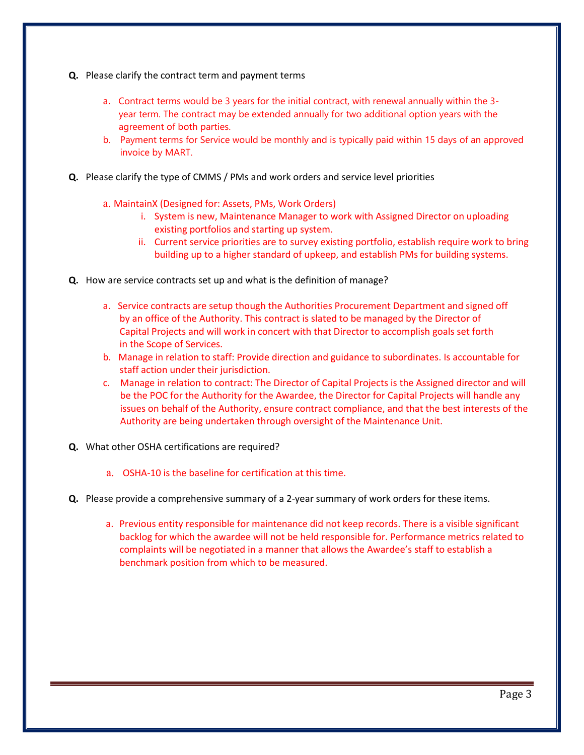- **Q.** Please clarify the contract term and payment terms
	- a.Contract terms would be 3 years for the initial contract, with renewal annually within the 3 year term. The contract may be extended annually for two additional option years with the agreement of both parties.
	- b. Payment terms for Service would be monthly and is typically paid within 15 days of an approved invoice by MART.
- **Q.** Please clarify the type of CMMS / PMs and work orders and service level priorities
	- a. MaintainX (Designed for: Assets, PMs, Work Orders)
		- i. System is new, Maintenance Manager to work with Assigned Director on uploading existing portfolios and starting up system.
		- ii. Current service priorities are to survey existing portfolio, establish require work to bring building up to a higher standard of upkeep, and establish PMs for building systems.
- **Q.** How are service contracts set up and what is the definition of manage?
	- a. Service contracts are setup though the Authorities Procurement Department and signed off by an office of the Authority. This contract is slated to be managed by the Director of Capital Projects and will work in concert with that Director to accomplish goals set forth in the Scope of Services.
	- b. Manage in relation to staff: Provide direction and guidance to subordinates. Is accountable for staff action under their jurisdiction.
	- c. Manage in relation to contract: The Director of Capital Projects is the Assigned director and will be the POC for the Authority for the Awardee, the Director for Capital Projects will handle any issues on behalf of the Authority, ensure contract compliance, and that the best interests of the Authority are being undertaken through oversight of the Maintenance Unit.
- **Q.** What other OSHA certifications are required?
	- a. OSHA-10 is the baseline for certification at this time.
- **Q.** Please provide a comprehensive summary of a 2-year summary of work orders for these items.
	- a. Previous entity responsible for maintenance did not keep records. There is a visible significant backlog for which the awardee will not be held responsible for. Performance metrics related to complaints will be negotiated in a manner that allows the Awardee's staff to establish a benchmark position from which to be measured.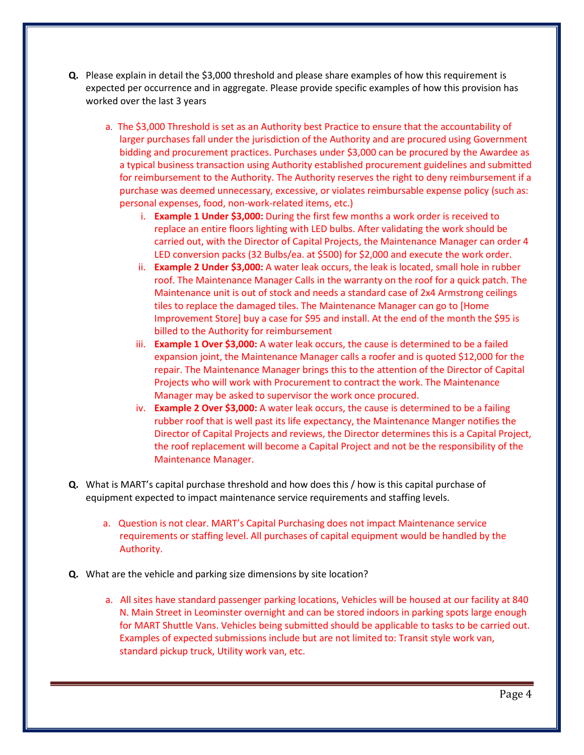- **Q.** Please explain in detail the \$3,000 threshold and please share examples of how this requirement is expected per occurrence and in aggregate. Please provide specific examples of how this provision has worked over the last 3 years
	- a. The \$3,000 Threshold is set as an Authority best Practice to ensure that the accountability of larger purchases fall under the jurisdiction of the Authority and are procured using Government bidding and procurement practices. Purchases under \$3,000 can be procured by the Awardee as a typical business transaction using Authority established procurement guidelines and submitted for reimbursement to the Authority. The Authority reserves the right to deny reimbursement if a purchase was deemed unnecessary, excessive, or violates reimbursable expense policy (such as: personal expenses, food, non-work-related items, etc.)
		- i. **Example 1 Under \$3,000:** During the first few months a work order is received to replace an entire floors lighting with LED bulbs. After validating the work should be carried out, with the Director of Capital Projects, the Maintenance Manager can order 4 LED conversion packs (32 Bulbs/ea. at \$500) for \$2,000 and execute the work order.
		- ii. **Example 2 Under \$3,000:** A water leak occurs, the leak is located, small hole in rubber roof. The Maintenance Manager Calls in the warranty on the roof for a quick patch. The Maintenance unit is out of stock and needs a standard case of 2x4 Armstrong ceilings tiles to replace the damaged tiles. The Maintenance Manager can go to [Home Improvement Store] buy a case for \$95 and install. At the end of the month the \$95 is billed to the Authority for reimbursement
		- iii. **Example 1 Over \$3,000:** A water leak occurs, the cause is determined to be a failed expansion joint, the Maintenance Manager calls a roofer and is quoted \$12,000 for the repair. The Maintenance Manager brings this to the attention of the Director of Capital Projects who will work with Procurement to contract the work. The Maintenance Manager may be asked to supervisor the work once procured.
		- iv. **Example 2 Over \$3,000:** A water leak occurs, the cause is determined to be a failing rubber roof that is well past its life expectancy, the Maintenance Manger notifies the Director of Capital Projects and reviews, the Director determines this is a Capital Project, the roof replacement will become a Capital Project and not be the responsibility of the Maintenance Manager.
- **Q.** What is MART's capital purchase threshold and how does this / how is this capital purchase of equipment expected to impact maintenance service requirements and staffing levels.
	- a. Question is not clear. MART's Capital Purchasing does not impact Maintenance service requirements or staffing level. All purchases of capital equipment would be handled by the Authority.
- **Q.** What are the vehicle and parking size dimensions by site location?
	- a. All sites have standard passenger parking locations, Vehicles will be housed at our facility at 840 N. Main Street in Leominster overnight and can be stored indoors in parking spots large enough for MART Shuttle Vans. Vehicles being submitted should be applicable to tasks to be carried out. Examples of expected submissions include but are not limited to: Transit style work van, standard pickup truck, Utility work van, etc.